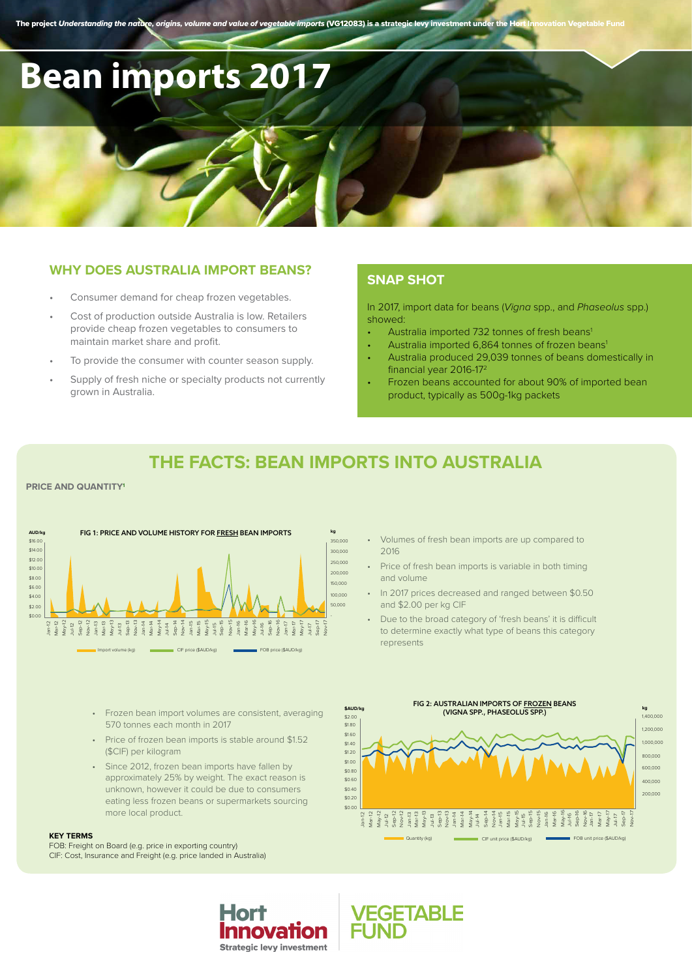The project *Understanding the nature, origins, volume and value of vegetable imports* (VG12083) is a strategic levy investment under the He

# **Bean imports 2017**

## **WHY DOES AUSTRALIA IMPORT BEANS?**

- Consumer demand for cheap frozen vegetables.
- Cost of production outside Australia is low. Retailers provide cheap frozen vegetables to consumers to maintain market share and profit.
- To provide the consumer with counter season supply.
- Supply of fresh niche or specialty products not currently grown in Australia.

## **SNAP SHOT**

In 2017, import data for beans (*Vigna* spp., and *Phaseolus* spp.) showed:

- Australia imported 732 tonnes of fresh beans<sup>1</sup>
- Australia imported 6,864 tonnes of frozen beans<sup>1</sup>
- Australia produced 29,039 tonnes of beans domestically in financial year 2016-172
- Frozen beans accounted for about 90% of imported bean product, typically as 500g-1kg packets

# **THE FACTS: BEAN IMPORTS INTO AUSTRALIA**

#### **PRICE AND QUANTITY1**



- Frozen bean import volumes are consistent, averaging 570 tonnes each month in 2017
- Price of frozen bean imports is stable around \$1.52 (\$CIF) per kilogram
- Since 2012, frozen bean imports have fallen by approximately 25% by weight. The exact reason is unknown, however it could be due to consumers eating less frozen beans or supermarkets sourcing more local product.

Hor

Innovation **Strategic levy investment** 

#### **KEY TERMS**

FOB: Freight on Board (e.g. price in exporting country) CIF: Cost, Insurance and Freight (e.g. price landed in Australia)

- Volumes of fresh bean imports are up compared to 2016
- Price of fresh bean imports is variable in both timing and volume
- In 2017 prices decreased and ranged between \$0.50 and \$2.00 per kg CIF
- Due to the broad category of 'fresh beans' it is difficult to determine exactly what type of beans this category represents